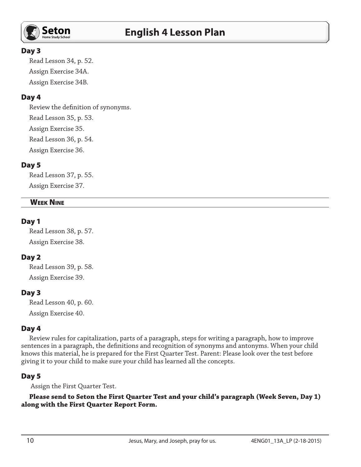

#### Day 3

Read Lesson 34, p. 52. Assign Exercise 34A. Assign Exercise 34B.

# Day 4

Review the definition of synonyms. Read Lesson 35, p. 53. Assign Exercise 35. Read Lesson 36, p. 54. Assign Exercise 36.

# Day 5

Read Lesson 37, p. 55. Assign Exercise 37.

#### **WEEK NINE**

#### Day 1

Read Lesson 38, p. 57. Assign Exercise 38.

## Day 2

Read Lesson 39, p. 58. Assign Exercise 39.

## Day 3

Read Lesson 40, p. 60. Assign Exercise 40.

#### Day 4

Review rules for capitalization, parts of a paragraph, steps for writing a paragraph, how to improve sentences in a paragraph, the definitions and recognition of synonyms and antonyms. When your child knows this material, he is prepared for the First Quarter Test. Parent: Please look over the test before giving it to your child to make sure your child has learned all the concepts.

## Day 5

Assign the First Quarter Test.

**Please send to Seton the First Quarter Test and your child's paragraph (Week Seven, Day 1) along with the First Quarter Report Form.**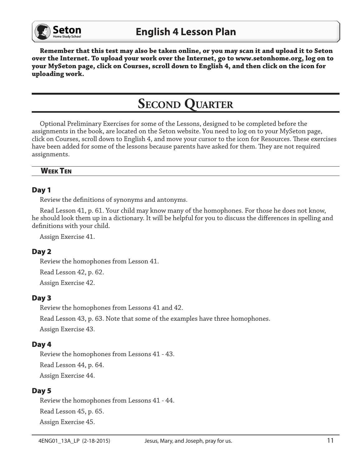

**Remember that this test may also be taken online, or you may scan it and upload it to Seton over the Internet. To upload your work over the Internet, go to www.setonhome.org, log on to your MySeton page, click on Courses, scroll down to English 4, and then click on the icon for uploading work.**

# **SECOND QUARTER**

Optional Preliminary Exercises for some of the Lessons, designed to be completed before the assignments in the book, are located on the Seton website. You need to log on to your MySeton page, click on Courses, scroll down to English 4, and move your cursor to the icon for Resources. These exercises have been added for some of the lessons because parents have asked for them. They are not required assignments.

# Week Ten

#### Day 1

Review the definitions of synonyms and antonyms.

Read Lesson 41, p. 61. Your child may know many of the homophones. For those he does not know, he should look them up in a dictionary. It will be helpful for you to discuss the differences in spelling and definitions with your child.

Assign Exercise 41.

## Day 2

Review the homophones from Lesson 41.

Read Lesson 42, p. 62.

Assign Exercise 42.

## Day 3

Review the homophones from Lessons 41 and 42.

Read Lesson 43, p. 63. Note that some of the examples have three homophones.

Assign Exercise 43.

## Day 4

Review the homophones from Lessons 41 - 43. Read Lesson 44, p. 64. Assign Exercise 44.

#### Day 5

Review the homophones from Lessons 41 - 44. Read Lesson 45, p. 65. Assign Exercise 45.